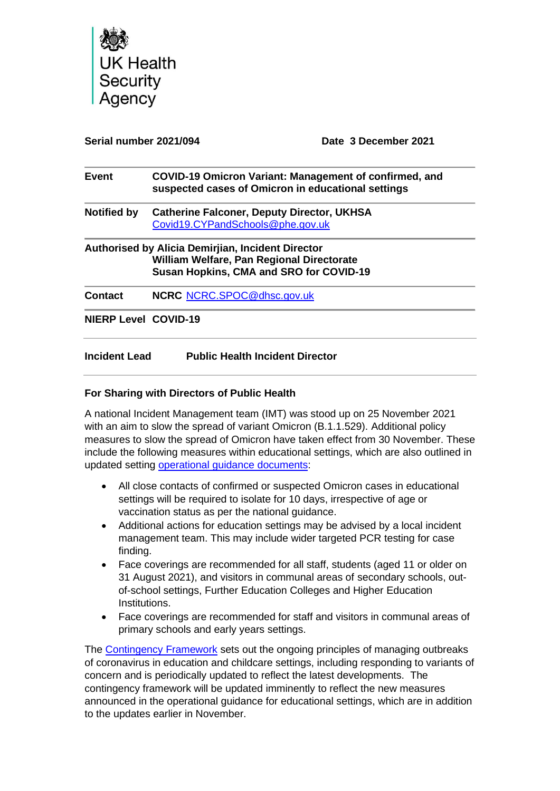

## **Serial number 2021/094 Date 3 December 2021**

| <b>Event</b>                | COVID-19 Omicron Variant: Management of confirmed, and<br>suspected cases of Omicron in educational settings                              |
|-----------------------------|-------------------------------------------------------------------------------------------------------------------------------------------|
| <b>Notified by</b>          | <b>Catherine Falconer, Deputy Director, UKHSA</b><br>Covid19.CYPandSchools@phe.gov.uk                                                     |
|                             | Authorised by Alicia Demirjian, Incident Director<br>William Welfare, Pan Regional Directorate<br>Susan Hopkins, CMA and SRO for COVID-19 |
| <b>Contact</b>              | NCRC NCRC.SPOC@dhsc.gov.uk                                                                                                                |
| <b>NIERP Level COVID-19</b> |                                                                                                                                           |
| <b>Incident Lead</b>        | <b>Public Health Incident Director</b>                                                                                                    |

# **For Sharing with Directors of Public Health**

A national Incident Management team (IMT) was stood up on 25 November 2021 with an aim to slow the spread of variant Omicron (B.1.1.529). Additional policy measures to slow the spread of Omicron have taken effect from 30 November. These include the following measures within educational settings, which are also outlined in updated setting [operational guidance](https://www.gov.uk/government/publications/actions-for-schools-during-the-coronavirus-outbreak) documents:

- All close contacts of confirmed or suspected Omicron cases in educational settings will be required to isolate for 10 days, irrespective of age or vaccination status as per the national guidance.
- Additional actions for education settings may be advised by a local incident management team. This may include wider targeted PCR testing for case finding.
- Face coverings are recommended for all staff, students (aged 11 or older on 31 August 2021), and visitors in communal areas of secondary schools, outof-school settings, Further Education Colleges and Higher Education Institutions.
- Face coverings are recommended for staff and visitors in communal areas of primary schools and early years settings.

The [Contingency Framework](https://www.gov.uk/government/publications/coronavirus-covid-19-local-restrictions-in-education-and-childcare-settings/contingency-framework-education-and-childcare-settings) sets out the ongoing principles of managing outbreaks of coronavirus in education and childcare settings, including responding to variants of concern and is periodically updated to reflect the latest developments. The contingency framework will be updated imminently to reflect the new measures announced in the operational guidance for educational settings, which are in addition to the updates earlier in November.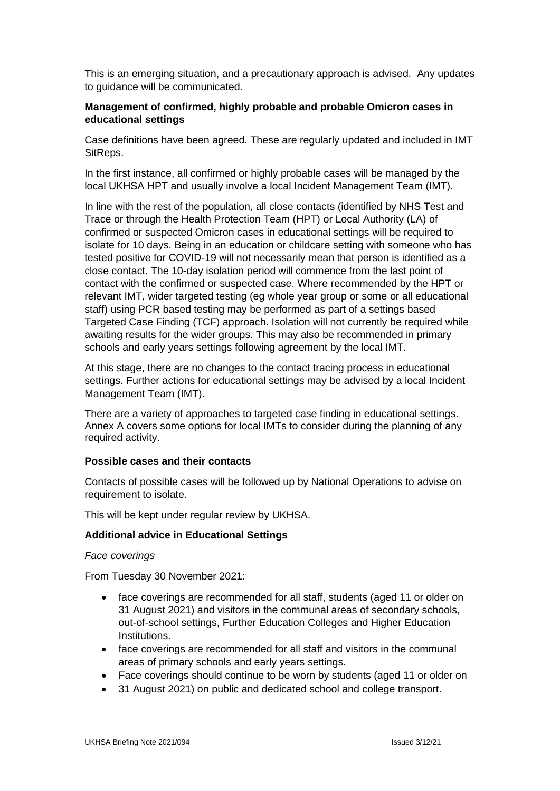This is an emerging situation, and a precautionary approach is advised. Any updates to guidance will be communicated.

## **Management of confirmed, highly probable and probable Omicron cases in educational settings**

Case definitions have been agreed. These are regularly updated and included in IMT SitReps.

In the first instance, all confirmed or highly probable cases will be managed by the local UKHSA HPT and usually involve a local Incident Management Team (IMT).

In line with the rest of the population, all close contacts (identified by NHS Test and Trace or through the Health Protection Team (HPT) or Local Authority (LA) of confirmed or suspected Omicron cases in educational settings will be required to isolate for 10 days. Being in an education or childcare setting with someone who has tested positive for COVID-19 will not necessarily mean that person is identified as a close contact. The 10-day isolation period will commence from the last point of contact with the confirmed or suspected case. Where recommended by the HPT or relevant IMT, wider targeted testing (eg whole year group or some or all educational staff) using PCR based testing may be performed as part of a settings based Targeted Case Finding (TCF) approach. Isolation will not currently be required while awaiting results for the wider groups. This may also be recommended in primary schools and early years settings following agreement by the local IMT.

At this stage, there are no changes to the contact tracing process in educational settings. Further actions for educational settings may be advised by a local Incident Management Team (IMT).

There are a variety of approaches to targeted case finding in educational settings. Annex A covers some options for local IMTs to consider during the planning of any required activity.

## **Possible cases and their contacts**

Contacts of possible cases will be followed up by National Operations to advise on requirement to isolate.

This will be kept under regular review by UKHSA.

## **Additional advice in Educational Settings**

## *Face coverings*

From Tuesday 30 November 2021:

- face coverings are recommended for all staff, students (aged 11 or older on 31 August 2021) and visitors in the communal areas of secondary schools, out-of-school settings, Further Education Colleges and Higher Education Institutions.
- face coverings are recommended for all staff and visitors in the communal areas of primary schools and early years settings.
- Face coverings should continue to be worn by students (aged 11 or older on
- 31 August 2021) on public and dedicated school and college transport.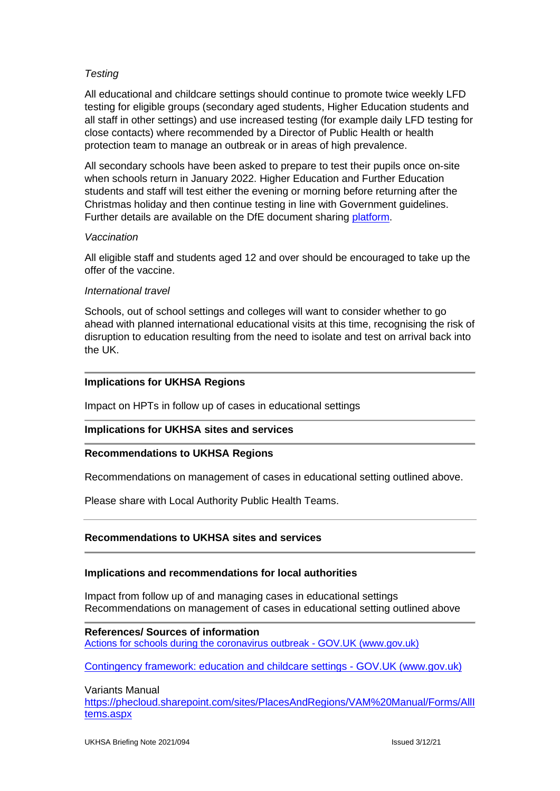## *Testing*

All educational and childcare settings should continue to promote twice weekly LFD testing for eligible groups (secondary aged students, Higher Education students and all staff in other settings) and use increased testing (for example daily LFD testing for close contacts) where recommended by a Director of Public Health or health protection team to manage an outbreak or in areas of high prevalence.

All secondary schools have been asked to prepare to test their pupils once on-site when schools return in January 2022. Higher Education and Further Education students and staff will test either the evening or morning before returning after the Christmas holiday and then continue testing in line with Government guidelines. Further details are available on the DfE document sharing [platform.](https://drive.google.com/drive/folders/1jYv0MjFyIIbzgPn_1S10OuRgfrj_b5_P)

## *Vaccination*

All eligible staff and students aged 12 and over should be encouraged to take up the offer of the vaccine.

#### *International travel*

Schools, out of school settings and colleges will want to consider whether to go ahead with planned international educational visits at this time, recognising the risk of disruption to education resulting from the need to isolate and test on arrival back into the UK.

## **Implications for UKHSA Regions**

Impact on HPTs in follow up of cases in educational settings

## **Implications for UKHSA sites and services**

## **Recommendations to UKHSA Regions**

Recommendations on management of cases in educational setting outlined above.

Please share with Local Authority Public Health Teams.

## **Recommendations to UKHSA sites and services**

#### **Implications and recommendations for local authorities**

Impact from follow up of and managing cases in educational settings Recommendations on management of cases in educational setting outlined above

**References/ Sources of information**  [Actions for schools during the coronavirus outbreak -](https://www.gov.uk/government/publications/actions-for-schools-during-the-coronavirus-outbreak) GOV.UK (www.gov.uk)

Contingency framework: education and childcare settings - GOV.UK (www.gov.uk)

Variants Manual

[https://phecloud.sharepoint.com/sites/PlacesAndRegions/VAM%20Manual/Forms/AllI](https://phecloud.sharepoint.com/sites/PlacesAndRegions/VAM%20Manual/Forms/AllItems.aspx) [tems.aspx](https://phecloud.sharepoint.com/sites/PlacesAndRegions/VAM%20Manual/Forms/AllItems.aspx)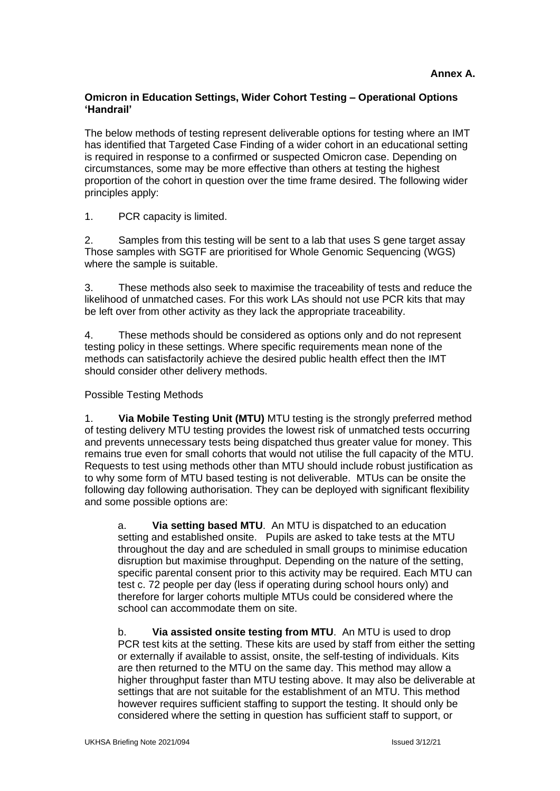## **Omicron in Education Settings, Wider Cohort Testing – Operational Options 'Handrail'**

The below methods of testing represent deliverable options for testing where an IMT has identified that Targeted Case Finding of a wider cohort in an educational setting is required in response to a confirmed or suspected Omicron case. Depending on circumstances, some may be more effective than others at testing the highest proportion of the cohort in question over the time frame desired. The following wider principles apply:

1. PCR capacity is limited.

2. Samples from this testing will be sent to a lab that uses S gene target assay Those samples with SGTF are prioritised for Whole Genomic Sequencing (WGS) where the sample is suitable.

3. These methods also seek to maximise the traceability of tests and reduce the likelihood of unmatched cases. For this work LAs should not use PCR kits that may be left over from other activity as they lack the appropriate traceability.

4. These methods should be considered as options only and do not represent testing policy in these settings. Where specific requirements mean none of the methods can satisfactorily achieve the desired public health effect then the IMT should consider other delivery methods.

Possible Testing Methods

1. **Via Mobile Testing Unit (MTU)** MTU testing is the strongly preferred method of testing delivery MTU testing provides the lowest risk of unmatched tests occurring and prevents unnecessary tests being dispatched thus greater value for money. This remains true even for small cohorts that would not utilise the full capacity of the MTU. Requests to test using methods other than MTU should include robust justification as to why some form of MTU based testing is not deliverable. MTUs can be onsite the following day following authorisation. They can be deployed with significant flexibility and some possible options are:

a. **Via setting based MTU**. An MTU is dispatched to an education setting and established onsite. Pupils are asked to take tests at the MTU throughout the day and are scheduled in small groups to minimise education disruption but maximise throughput. Depending on the nature of the setting, specific parental consent prior to this activity may be required. Each MTU can test c. 72 people per day (less if operating during school hours only) and therefore for larger cohorts multiple MTUs could be considered where the school can accommodate them on site.

b. **Via assisted onsite testing from MTU**. An MTU is used to drop PCR test kits at the setting. These kits are used by staff from either the setting or externally if available to assist, onsite, the self-testing of individuals. Kits are then returned to the MTU on the same day. This method may allow a higher throughput faster than MTU testing above. It may also be deliverable at settings that are not suitable for the establishment of an MTU. This method however requires sufficient staffing to support the testing. It should only be considered where the setting in question has sufficient staff to support, or